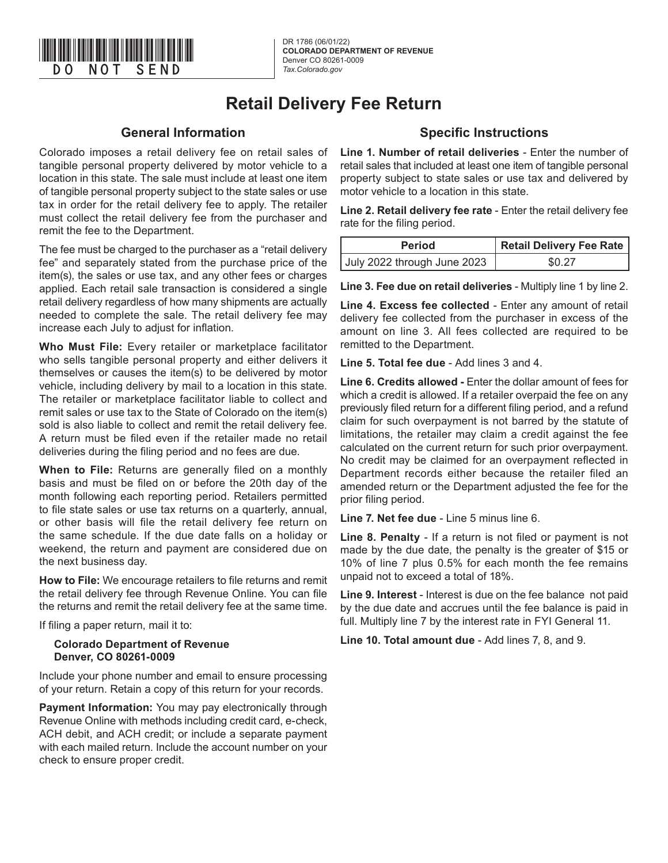

DR 1786 (06/01/22) **COLORADO DEPARTMENT OF REVENUE** Denver CO 80261-0009 *Tax.Colorado.gov*

# **Retail Delivery Fee Return**

### **General Information**

Colorado imposes a retail delivery fee on retail sales of tangible personal property delivered by motor vehicle to a location in this state. The sale must include at least one item of tangible personal property subject to the state sales or use tax in order for the retail delivery fee to apply. The retailer must collect the retail delivery fee from the purchaser and remit the fee to the Department.

The fee must be charged to the purchaser as a "retail delivery fee" and separately stated from the purchase price of the item(s), the sales or use tax, and any other fees or charges applied. Each retail sale transaction is considered a single retail delivery regardless of how many shipments are actually needed to complete the sale. The retail delivery fee may increase each July to adjust for inflation.

**Who Must File:** Every retailer or marketplace facilitator who sells tangible personal property and either delivers it themselves or causes the item(s) to be delivered by motor vehicle, including delivery by mail to a location in this state. The retailer or marketplace facilitator liable to collect and remit sales or use tax to the State of Colorado on the item(s) sold is also liable to collect and remit the retail delivery fee. A return must be filed even if the retailer made no retail deliveries during the filing period and no fees are due.

**When to File:** Returns are generally filed on a monthly basis and must be filed on or before the 20th day of the month following each reporting period. Retailers permitted to file state sales or use tax returns on a quarterly, annual, or other basis will file the retail delivery fee return on the same schedule. If the due date falls on a holiday or weekend, the return and payment are considered due on the next business day.

**How to File:** We encourage retailers to file returns and remit the retail delivery fee through Revenue Online. You can file the returns and remit the retail delivery fee at the same time.

If filing a paper return, mail it to:

#### **Colorado Department of Revenue Denver, CO 80261-0009**

Include your phone number and email to ensure processing of your return. Retain a copy of this return for your records.

**Payment Information:** You may pay electronically through Revenue Online with methods including credit card, e-check, ACH debit, and ACH credit; or include a separate payment with each mailed return. Include the account number on your check to ensure proper credit.

## **Specific Instructions**

**Line 1. Number of retail deliveries** - Enter the number of retail sales that included at least one item of tangible personal property subject to state sales or use tax and delivered by motor vehicle to a location in this state.

**Line 2. Retail delivery fee rate** - Enter the retail delivery fee rate for the filing period.

| <b>Period</b>               | <b>Retail Delivery Fee Rate</b> |  |  |
|-----------------------------|---------------------------------|--|--|
| July 2022 through June 2023 | \$0.27                          |  |  |

**Line 3. Fee due on retail deliveries** - Multiply line 1 by line 2.

**Line 4. Excess fee collected** - Enter any amount of retail delivery fee collected from the purchaser in excess of the amount on line 3. All fees collected are required to be remitted to the Department.

**Line 5. Total fee due** - Add lines 3 and 4.

**Line 6. Credits allowed -** Enter the dollar amount of fees for which a credit is allowed. If a retailer overpaid the fee on any previously filed return for a different filing period, and a refund claim for such overpayment is not barred by the statute of limitations, the retailer may claim a credit against the fee calculated on the current return for such prior overpayment. No credit may be claimed for an overpayment reflected in Department records either because the retailer filed an amended return or the Department adjusted the fee for the prior filing period.

**Line 7. Net fee due** - Line 5 minus line 6.

**Line 8. Penalty** - If a return is not filed or payment is not made by the due date, the penalty is the greater of \$15 or 10% of line 7 plus 0.5% for each month the fee remains unpaid not to exceed a total of 18%.

**Line 9. Interest** - Interest is due on the fee balance not paid by the due date and accrues until the fee balance is paid in full. Multiply line 7 by the interest rate in FYI General 11.

**Line 10. Total amount due** - Add lines 7, 8, and 9.